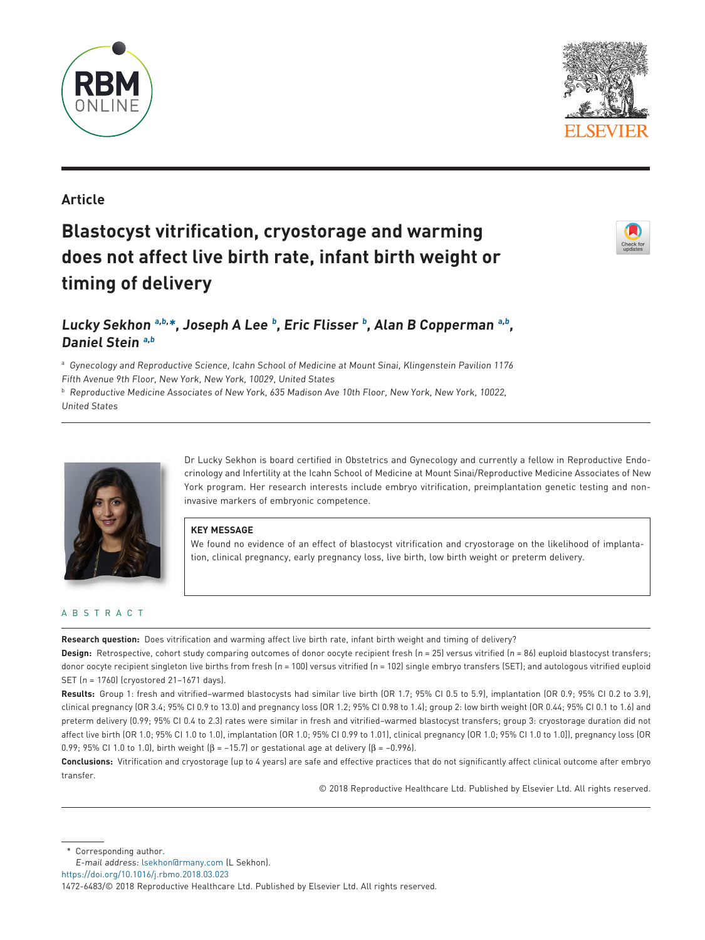- <span id="page-0-2"></span>E-mail address: [lsekhon@rmany.com](mailto:lsekhon@rmany.com) (L Sekhon).
- https://doi.org/10.1016/j.rbmo.2018.03.023
- 1472-6483/© 2018 Reproductive Healthcare Ltd. Published by Elsevier Ltd. All rights reserved.

# **Article**

# **Blastocyst vitrification, cryostorage and warming does not affect live birth rate, infant birth weight or timing of delivery**

# Lucky Sekhon ª<sup>,b,</sup>\*, Joseph A Lee <sup>b</sup>, Eric Flisser <sup>b</sup>, Al[a](#page-0-0)n B Copperman ª<sup>,[b](#page-0-1)</sup>, **Daniel Stein [a,](#page-0-0)[b](#page-0-1)**

<span id="page-0-0"></span>a Gynecology and Reproductive Science, Icahn School of Medicine at Mount Sinai, Klingenstein Pavilion 1176 Fifth Avenue 9th Floor, New York, New York, 10029, United States **b** Reproductive Medicine Associates of New York, 635 Madison Ave 10th Floor, New York, New York, 10022,

<span id="page-0-1"></span>United States



Dr Lucky Sekhon is board certified in Obstetrics and Gynecology and currently a fellow in Reproductive Endocrinology and Infertility at the Icahn School of Medicine at Mount Sinai/Reproductive Medicine Associates of New York program. Her research interests include embryo vitrification, preimplantation genetic testing and noninvasive markers of embryonic competence.

# **KEY MESSAGE**

We found no evidence of an effect of blastocyst vitrification and cryostorage on the likelihood of implantation, clinical pregnancy, early pregnancy loss, live birth, low birth weight or preterm delivery.

# ABSTRACT

**Research question:** Does vitrification and warming affect live birth rate, infant birth weight and timing of delivery?

Design: Retrospective, cohort study comparing outcomes of donor oocyte recipient fresh (n = 25) versus vitrified (n = 86) euploid blastocyst transfers; donor oocyte recipient singleton live births from fresh (n = 100) versus vitrified (n = 102) single embryo transfers (SET); and autologous vitrified euploid SET (<sup>n</sup> = 1760) (cryostored 21–1671 days).

**Results:** Group 1: fresh and vitrified–warmed blastocysts had similar live birth (OR 1.7; 95% CI 0.5 to 5.9), implantation (OR 0.9; 95% CI 0.2 to 3.9), clinical pregnancy (OR 3.4; 95% CI 0.9 to 13.0) and pregnancy loss (OR 1.2; 95% CI 0.98 to 1.4); group 2: low birth weight (OR 0.44; 95% CI 0.1 to 1.6) and preterm delivery (0.99; 95% CI 0.4 to 2.3) rates were similar in fresh and vitrified–warmed blastocyst transfers; group 3: cryostorage duration did not affect live birth (OR 1.0; 95% CI 1.0 to 1.0), implantation (OR 1.0; 95% CI 0.99 to 1.01), clinical pregnancy (OR 1.0; 95% CI 1.0 to 1.0]), pregnancy loss (OR 0.99; 95% CI 1.0 to 1.0), birth weight  $(β = -15.7)$  or gestational age at delivery  $(β = -0.996)$ .

**Conclusions:** Vitrification and cryostorage (up to 4 years) are safe and effective practices that do not significantly affect clinical outcome after embryo transfer.

© 2018 Reproductive Healthcare Ltd. Published by Elsevier Ltd. All rights reserved.





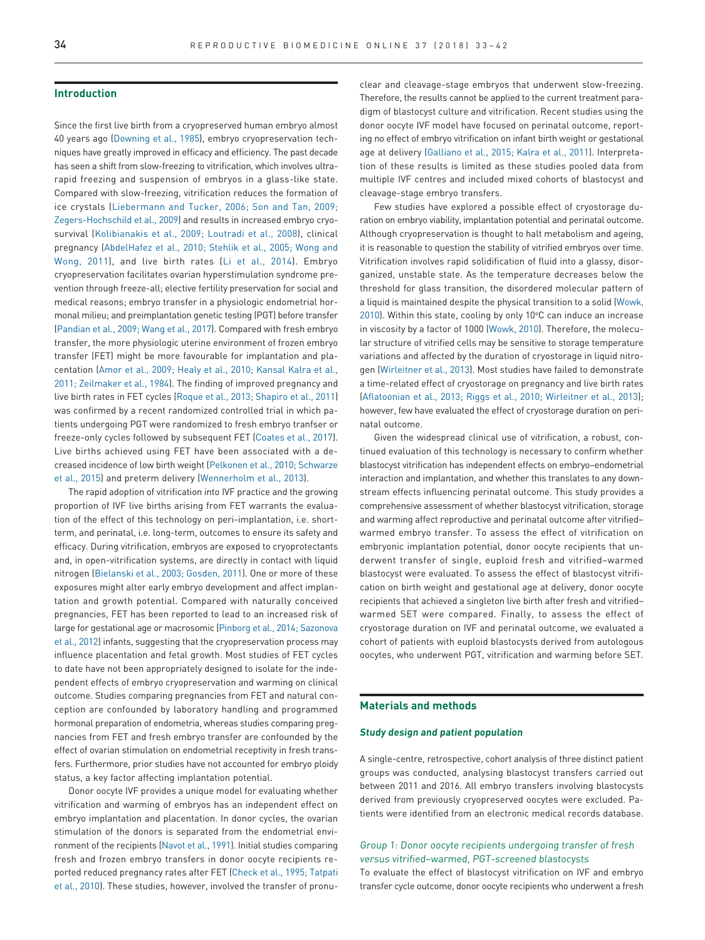### **Introduction**

Since the first live birth from a cryopreserved human embryo almost 40 years ago [\(Downing et al., 1985\)](#page-8-0), embryo cryopreservation techniques have greatly improved in efficacy and efficiency. The past decade has seen a shift from slow-freezing to vitrification, which involves ultrarapid freezing and suspension of embryos in a glass-like state. Compared with slow-freezing, vitrification reduces the formation of ice crystals [\(Liebermann and Tucker, 2006; Son and Tan, 2009;](#page-8-1) [Zegers-Hochschild et al., 2009\)](#page-8-1) and results in increased embryo cryosurvival [\(Kolibianakis et al., 2009; Loutradi et al., 2008\)](#page-8-2), clinical pregnancy [\(AbdelHafez et al., 2010; Stehlik et al., 2005; Wong and](#page-7-0) [Wong, 2011\)](#page-7-0), and live birth rates [\(Li et al., 2014\)](#page-8-3). Embryo cryopreservation facilitates ovarian hyperstimulation syndrome prevention through freeze-all; elective fertility preservation for social and medical reasons; embryo transfer in a physiologic endometrial hormonal milieu; and preimplantation genetic testing (PGT) before transfer [\(Pandian et al., 2009; Wang et al., 2017\)](#page-8-4). Compared with fresh embryo transfer, the more physiologic uterine environment of frozen embryo transfer (FET) might be more favourable for implantation and placentation [\(Amor et al., 2009; Healy et al., 2010; Kansal Kalra et al.,](#page-8-5) [2011; Zeilmaker et al., 1984\)](#page-8-5). The finding of improved pregnancy and live birth rates in FET cycles [\(Roque et al., 2013; Shapiro et al., 2011\)](#page-8-6) was confirmed by a recent randomized controlled trial in which patients undergoing PGT were randomized to fresh embryo tranfser or freeze-only cycles followed by subsequent FET [\(Coates et al., 2017\)](#page-8-7). Live births achieved using FET have been associated with a decreased incidence of low birth weight [\(Pelkonen et al., 2010; Schwarze](#page-8-8) [et al., 2015\)](#page-8-8) and preterm delivery [\(Wennerholm et al., 2013\)](#page-9-0).

The rapid adoption of vitrification into IVF practice and the growing proportion of IVF live births arising from FET warrants the evaluation of the effect of this technology on peri-implantation, i.e. shortterm, and perinatal, i.e. long-term, outcomes to ensure its safety and efficacy. During vitrification, embryos are exposed to cryoprotectants and, in open-vitrification systems, are directly in contact with liquid nitrogen [\(Bielanski et al., 2003; Gosden, 2011\)](#page-8-9). One or more of these exposures might alter early embryo development and affect implantation and growth potential. Compared with naturally conceived pregnancies, FET has been reported to lead to an increased risk of large for gestational age or macrosomic [\(Pinborg et al., 2014; Sazonova](#page-8-10) [et al., 2012\)](#page-8-10) infants, suggesting that the cryopreservation process may influence placentation and fetal growth. Most studies of FET cycles to date have not been appropriately designed to isolate for the independent effects of embryo cryopreservation and warming on clinical outcome. Studies comparing pregnancies from FET and natural conception are confounded by laboratory handling and programmed hormonal preparation of endometria, whereas studies comparing pregnancies from FET and fresh embryo transfer are confounded by the effect of ovarian stimulation on endometrial receptivity in fresh transfers. Furthermore, prior studies have not accounted for embryo ploidy status, a key factor affecting implantation potential.

Donor oocyte IVF provides a unique model for evaluating whether vitrification and warming of embryos has an independent effect on embryo implantation and placentation. In donor cycles, the ovarian stimulation of the donors is separated from the endometrial environment of the recipients [\(Navot et al., 1991\)](#page-8-11). Initial studies comparing fresh and frozen embryo transfers in donor oocyte recipients reported reduced pregnancy rates after FET [\(Check et al., 1995; Tatpati](#page-8-12) [et al., 2010\)](#page-8-12). These studies, however, involved the transfer of pronuclear and cleavage-stage embryos that underwent slow-freezing. Therefore, the results cannot be applied to the current treatment paradigm of blastocyst culture and vitrification. Recent studies using the donor oocyte IVF model have focused on perinatal outcome, reporting no effect of embryo vitrification on infant birth weight or gestational age at delivery [\(Galliano et al., 2015; Kalra et al., 2011\)](#page-8-13). Interpretation of these results is limited as these studies pooled data from multiple IVF centres and included mixed cohorts of blastocyst and cleavage-stage embryo transfers.

Few studies have explored a possible effect of cryostorage duration on embryo viability, implantation potential and perinatal outcome. Although cryopreservation is thought to halt metabolism and ageing, it is reasonable to question the stability of vitrified embryos over time. Vitrification involves rapid solidification of fluid into a glassy, disorganized, unstable state. As the temperature decreases below the threshold for glass transition, the disordered molecular pattern of a liquid is maintained despite the physical transition to a solid [\(Wowk,](#page-9-1) [2010\)](#page-9-1). Within this state, cooling by only 10°C can induce an increase in viscosity by a factor of 1000 [\(Wowk, 2010\)](#page-9-1). Therefore, the molecular structure of vitrified cells may be sensitive to storage temperature variations and affected by the duration of cryostorage in liquid nitrogen [\(Wirleitner et al., 2013\)](#page-9-2). Most studies have failed to demonstrate a time-related effect of cryostorage on pregnancy and live birth rates [\(Aflatoonian et al., 2013; Riggs et al., 2010; Wirleitner et al., 2013\)](#page-7-1); however, few have evaluated the effect of cryostorage duration on perinatal outcome.

Given the widespread clinical use of vitrification, a robust, continued evaluation of this technology is necessary to confirm whether blastocyst vitrification has independent effects on embryo–endometrial interaction and implantation, and whether this translates to any downstream effects influencing perinatal outcome. This study provides a comprehensive assessment of whether blastocyst vitrification, storage and warming affect reproductive and perinatal outcome after vitrified– warmed embryo transfer. To assess the effect of vitrification on embryonic implantation potential, donor oocyte recipients that underwent transfer of single, euploid fresh and vitrified–warmed blastocyst were evaluated. To assess the effect of blastocyst vitrification on birth weight and gestational age at delivery, donor oocyte recipients that achieved a singleton live birth after fresh and vitrified– warmed SET were compared. Finally, to assess the effect of cryostorage duration on IVF and perinatal outcome, we evaluated a cohort of patients with euploid blastocysts derived from autologous oocytes, who underwent PGT, vitrification and warming before SET.

# **Materials and methods**

#### **Study design and patient population**

A single-centre, retrospective, cohort analysis of three distinct patient groups was conducted, analysing blastocyst transfers carried out between 2011 and 2016. All embryo transfers involving blastocysts derived from previously cryopreserved oocytes were excluded. Patients were identified from an electronic medical records database.

# Group 1: Donor oocyte recipients undergoing transfer of fresh versus vitrified–warmed, PGT-screened blastocysts

To evaluate the effect of blastocyst vitrification on IVF and embryo transfer cycle outcome, donor oocyte recipients who underwent a fresh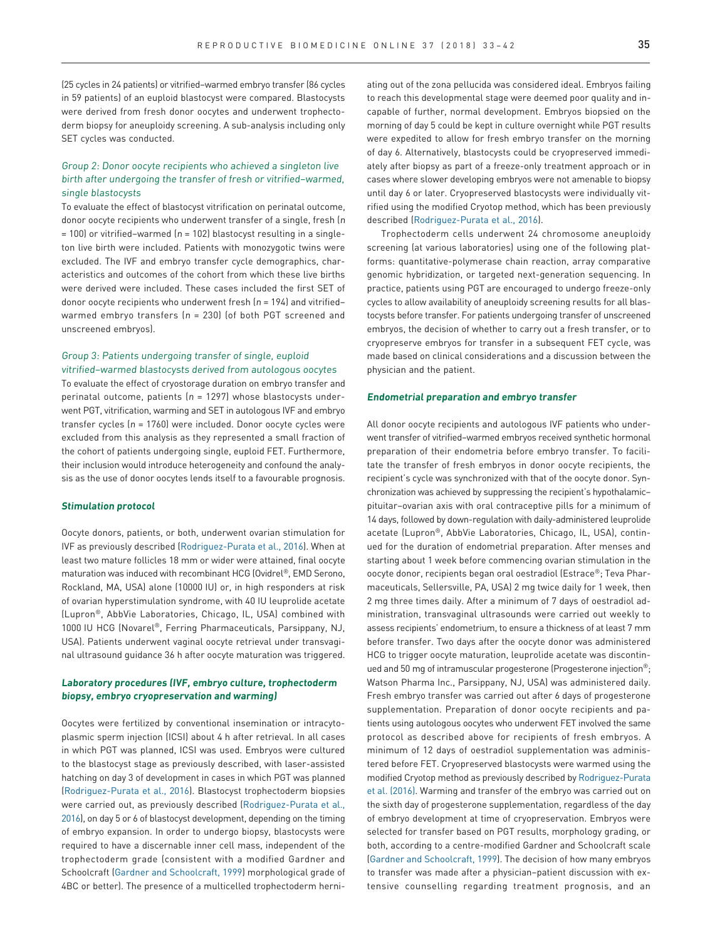(25 cycles in 24 patients) or vitrified–warmed embryo transfer (86 cycles in 59 patients) of an euploid blastocyst were compared. Blastocysts were derived from fresh donor oocytes and underwent trophectoderm biopsy for aneuploidy screening. A sub-analysis including only SET cycles was conducted.

# Group 2: Donor oocyte recipients who achieved <sup>a</sup> singleton live birth after undergoing the transfer of fresh or vitrified–warmed, single blastocysts

To evaluate the effect of blastocyst vitrification on perinatal outcome, donor oocyte recipients who underwent transfer of a single, fresh (<sup>n</sup>  $= 100$ ) or vitrified-warmed ( $n = 102$ ) blastocyst resulting in a singleton live birth were included. Patients with monozygotic twins were excluded. The IVF and embryo transfer cycle demographics, characteristics and outcomes of the cohort from which these live births were derived were included. These cases included the first SET of donor oocyte recipients who underwent fresh  $(n = 194)$  and vitrifiedwarmed embryo transfers (<sup>n</sup> = 230) (of both PGT screened and unscreened embryos).

#### Group 3: Patients undergoing transfer of single, euploid vitrified–warmed blastocysts derived from autologous oocytes

To evaluate the effect of cryostorage duration on embryo transfer and perinatal outcome, patients  $(n = 1297)$  whose blastocysts underwent PGT, vitrification, warming and SET in autologous IVF and embryo transfer cycles (<sup>n</sup> = 1760) were included. Donor oocyte cycles were excluded from this analysis as they represented a small fraction of the cohort of patients undergoing single, euploid FET. Furthermore, their inclusion would introduce heterogeneity and confound the analysis as the use of donor oocytes lends itself to a favourable prognosis.

#### **Stimulation protocol**

Oocyte donors, patients, or both, underwent ovarian stimulation for IVF as previously described [\(Rodriguez-Purata et al., 2016\)](#page-8-14). When at least two mature follicles 18 mm or wider were attained, final oocyte maturation was induced with recombinant HCG (Ovidrel®, EMD Serono, Rockland, MA, USA) alone (10000 IU) or, in high responders at risk of ovarian hyperstimulation syndrome, with 40 IU leuprolide acetate (Lupron®, AbbVie Laboratories, Chicago, IL, USA) combined with 1000 IU HCG (Novarel®, Ferring Pharmaceuticals, Parsippany, NJ, USA). Patients underwent vaginal oocyte retrieval under transvaginal ultrasound guidance 36 h after oocyte maturation was triggered.

# **Laboratory procedures (IVF, embryo culture, trophectoderm biopsy, embryo cryopreservation and warming)**

Oocytes were fertilized by conventional insemination or intracytoplasmic sperm injection (ICSI) about 4 h after retrieval. In all cases in which PGT was planned, ICSI was used. Embryos were cultured to the blastocyst stage as previously described, with laser-assisted hatching on day 3 of development in cases in which PGT was planned [\(Rodriguez-Purata et al., 2016\)](#page-8-14). Blastocyst trophectoderm biopsies were carried out, as previously described [\(Rodriguez-Purata et al.,](#page-8-14) [2016\)](#page-8-14), on day 5 or 6 of blastocyst development, depending on the timing of embryo expansion. In order to undergo biopsy, blastocysts were required to have a discernable inner cell mass, independent of the trophectoderm grade (consistent with a modified Gardner and Schoolcraft [\(Gardner and Schoolcraft, 1999\)](#page-8-15) morphological grade of 4BC or better). The presence of a multicelled trophectoderm herniating out of the zona pellucida was considered ideal. Embryos failing to reach this developmental stage were deemed poor quality and incapable of further, normal development. Embryos biopsied on the morning of day 5 could be kept in culture overnight while PGT results were expedited to allow for fresh embryo transfer on the morning of day 6. Alternatively, blastocysts could be cryopreserved immediately after biopsy as part of a freeze-only treatment approach or in cases where slower developing embryos were not amenable to biopsy until day 6 or later. Cryopreserved blastocysts were individually vitrified using the modified Cryotop method, which has been previously described [\(Rodriguez-Purata et al., 2016\)](#page-8-14).

Trophectoderm cells underwent 24 chromosome aneuploidy screening (at various laboratories) using one of the following platforms: quantitative-polymerase chain reaction, array comparative genomic hybridization, or targeted next-generation sequencing. In practice, patients using PGT are encouraged to undergo freeze-only cycles to allow availability of aneuploidy screening results for all blastocysts before transfer. For patients undergoing transfer of unscreened embryos, the decision of whether to carry out a fresh transfer, or to cryopreserve embryos for transfer in a subsequent FET cycle, was made based on clinical considerations and a discussion between the physician and the patient.

#### **Endometrial preparation and embryo transfer**

All donor oocyte recipients and autologous IVF patients who underwent transfer of vitrified–warmed embryos received synthetic hormonal preparation of their endometria before embryo transfer. To facilitate the transfer of fresh embryos in donor oocyte recipients, the recipient's cycle was synchronized with that of the oocyte donor. Synchronization was achieved by suppressing the recipient's hypothalamic– pituitar–ovarian axis with oral contraceptive pills for a minimum of 14 days, followed by down-regulation with daily-administered leuprolide acetate (Lupron®, AbbVie Laboratories, Chicago, IL, USA), continued for the duration of endometrial preparation. After menses and starting about 1 week before commencing ovarian stimulation in the oocyte donor, recipients began oral oestradiol (Estrace®; Teva Pharmaceuticals, Sellersville, PA, USA) 2 mg twice daily for 1 week, then 2 mg three times daily. After a minimum of 7 days of oestradiol administration, transvaginal ultrasounds were carried out weekly to assess recipients' endometrium, to ensure a thickness of at least 7 mm before transfer. Two days after the oocyte donor was administered HCG to trigger oocyte maturation, leuprolide acetate was discontinued and 50 mg of intramuscular progesterone (Progesterone injection®; Watson Pharma Inc., Parsippany, NJ, USA) was administered daily. Fresh embryo transfer was carried out after 6 days of progesterone supplementation. Preparation of donor oocyte recipients and patients using autologous oocytes who underwent FET involved the same protocol as described above for recipients of fresh embryos. A minimum of 12 days of oestradiol supplementation was administered before FET. Cryopreserved blastocysts were warmed using the modified Cryotop method as previously described by [Rodriguez-Purata](#page-8-14) [et al. \(2016\).](#page-8-14) Warming and transfer of the embryo was carried out on the sixth day of progesterone supplementation, regardless of the day of embryo development at time of cryopreservation. Embryos were selected for transfer based on PGT results, morphology grading, or both, according to a centre-modified Gardner and Schoolcraft scale [\(Gardner and Schoolcraft, 1999\)](#page-8-15). The decision of how many embryos to transfer was made after a physician–patient discussion with extensive counselling regarding treatment prognosis, and an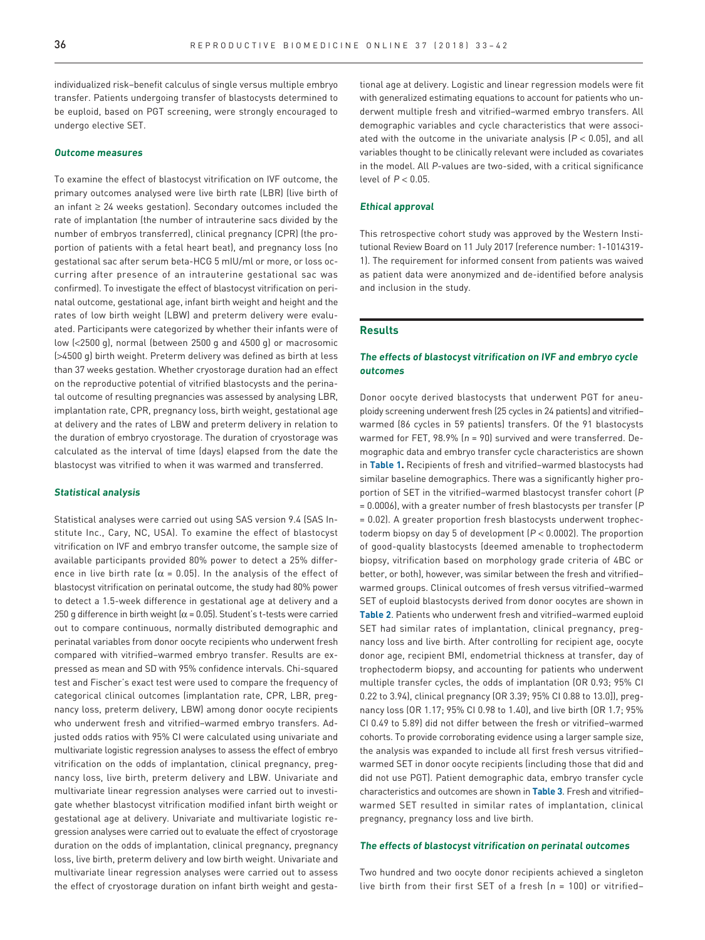individualized risk–benefit calculus of single versus multiple embryo transfer. Patients undergoing transfer of blastocysts determined to be euploid, based on PGT screening, were strongly encouraged to undergo elective SET.

#### **Outcome measures**

To examine the effect of blastocyst vitrification on IVF outcome, the primary outcomes analysed were live birth rate (LBR) (live birth of an infant ≥ 24 weeks gestation). Secondary outcomes included the rate of implantation (the number of intrauterine sacs divided by the number of embryos transferred), clinical pregnancy (CPR) (the proportion of patients with a fetal heart beat), and pregnancy loss (no gestational sac after serum beta-HCG 5 mIU/ml or more, or loss occurring after presence of an intrauterine gestational sac was confirmed). To investigate the effect of blastocyst vitrification on perinatal outcome, gestational age, infant birth weight and height and the rates of low birth weight (LBW) and preterm delivery were evaluated. Participants were categorized by whether their infants were of low (<2500 g), normal (between 2500 g and 4500 g) or macrosomic (>4500 g) birth weight. Preterm delivery was defined as birth at less than 37 weeks gestation. Whether cryostorage duration had an effect on the reproductive potential of vitrified blastocysts and the perinatal outcome of resulting pregnancies was assessed by analysing LBR, implantation rate, CPR, pregnancy loss, birth weight, gestational age at delivery and the rates of LBW and preterm delivery in relation to the duration of embryo cryostorage. The duration of cryostorage was calculated as the interval of time (days) elapsed from the date the blastocyst was vitrified to when it was warmed and transferred.

# **Statistical analysis**

Statistical analyses were carried out using SAS version 9.4 (SAS Institute Inc., Cary, NC, USA). To examine the effect of blastocyst vitrification on IVF and embryo transfer outcome, the sample size of available participants provided 80% power to detect a 25% difference in live birth rate  $(\alpha = 0.05)$ . In the analysis of the effect of blastocyst vitrification on perinatal outcome, the study had 80% power to detect a 1.5-week difference in gestational age at delivery and a 250 g difference in birth weight ( $\alpha$  = 0.05). Student's t-tests were carried out to compare continuous, normally distributed demographic and perinatal variables from donor oocyte recipients who underwent fresh compared with vitrified–warmed embryo transfer. Results are expressed as mean and SD with 95% confidence intervals. Chi-squared test and Fischer's exact test were used to compare the frequency of categorical clinical outcomes (implantation rate, CPR, LBR, pregnancy loss, preterm delivery, LBW) among donor oocyte recipients who underwent fresh and vitrified–warmed embryo transfers. Adjusted odds ratios with 95% CI were calculated using univariate and multivariate logistic regression analyses to assess the effect of embryo vitrification on the odds of implantation, clinical pregnancy, pregnancy loss, live birth, preterm delivery and LBW. Univariate and multivariate linear regression analyses were carried out to investigate whether blastocyst vitrification modified infant birth weight or gestational age at delivery. Univariate and multivariate logistic regression analyses were carried out to evaluate the effect of cryostorage duration on the odds of implantation, clinical pregnancy, pregnancy loss, live birth, preterm delivery and low birth weight. Univariate and multivariate linear regression analyses were carried out to assess the effect of cryostorage duration on infant birth weight and gestational age at delivery. Logistic and linear regression models were fit with generalized estimating equations to account for patients who underwent multiple fresh and vitrified–warmed embryo transfers. All demographic variables and cycle characteristics that were associated with the outcome in the univariate analysis  $(P < 0.05)$ , and all variables thought to be clinically relevant were included as covariates in the model. All P-values are two-sided, with a critical significance level of  $P < 0.05$ .

#### **Ethical approval**

This retrospective cohort study was approved by the Western Institutional Review Board on 11 July 2017 (reference number: 1-1014319- 1). The requirement for informed consent from patients was waived as patient data were anonymized and de-identified before analysis and inclusion in the study.

#### **Results**

# **The effects of blastocyst vitrification on IVF and embryo cycle outcomes**

Donor oocyte derived blastocysts that underwent PGT for aneuploidy screening underwent fresh (25 cycles in 24 patients) and vitrified– warmed (86 cycles in 59 patients) transfers. Of the 91 blastocysts warmed for FET, 98.9% (<sup>n</sup> = 90) survived and were transferred. Demographic data and embryo transfer cycle characteristics are shown in **[Table 1.](#page-4-0)** Recipients of fresh and vitrified–warmed blastocysts had similar baseline demographics. There was a significantly higher proportion of SET in the vitrified–warmed blastocyst transfer cohort (P = 0.0006), with a greater number of fresh blastocysts per transfer (P = 0.02). A greater proportion fresh blastocysts underwent trophectoderm biopsy on day 5 of development (P < 0.0002). The proportion of good-quality blastocysts (deemed amenable to trophectoderm biopsy, vitrification based on morphology grade criteria of 4BC or better, or both), however, was similar between the fresh and vitrified– warmed groups. Clinical outcomes of fresh versus vitrified–warmed SET of euploid blastocysts derived from donor oocytes are shown in **[Table 2](#page-4-0)**. Patients who underwent fresh and vitrified–warmed euploid SET had similar rates of implantation, clinical pregnancy, pregnancy loss and live birth. After controlling for recipient age, oocyte donor age, recipient BMI, endometrial thickness at transfer, day of trophectoderm biopsy, and accounting for patients who underwent multiple transfer cycles, the odds of implantation (OR 0.93; 95% CI 0.22 to 3.94), clinical pregnancy (OR 3.39; 95% CI 0.88 to 13.0]), pregnancy loss (OR 1.17; 95% CI 0.98 to 1.40), and live birth (OR 1.7; 95% CI 0.49 to 5.89) did not differ between the fresh or vitrified–warmed cohorts. To provide corroborating evidence using a larger sample size, the analysis was expanded to include all first fresh versus vitrified– warmed SET in donor oocyte recipients (including those that did and did not use PGT). Patient demographic data, embryo transfer cycle characteristics and outcomes are shown in **[Table 3](#page-4-0)**. Fresh and vitrified– warmed SET resulted in similar rates of implantation, clinical pregnancy, pregnancy loss and live birth.

#### **The effects of blastocyst vitrification on perinatal outcomes**

Two hundred and two oocyte donor recipients achieved a singleton live birth from their first SET of a fresh  $(n = 100)$  or vitrified–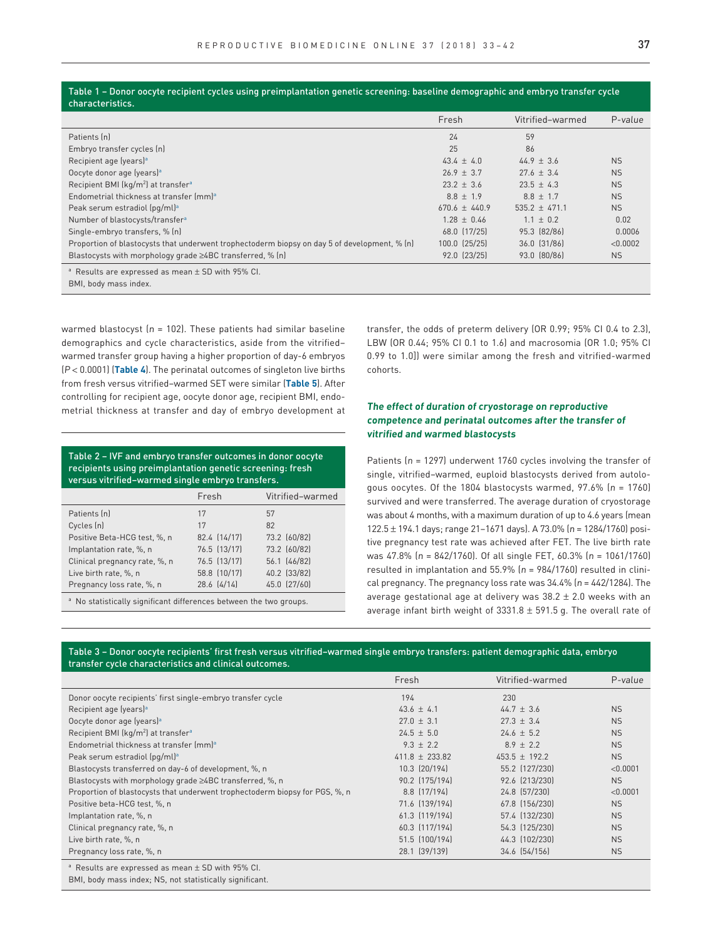#### <span id="page-4-0"></span>Table 1 – Donor oocyte recipient cycles using preimplantation genetic screening: baseline demographic and embryo transfer cycle characteristics.

|                                                                                              | Fresh           | Vitrified-warmed | P-value   |
|----------------------------------------------------------------------------------------------|-----------------|------------------|-----------|
| Patients (n)                                                                                 | 24              | 59               |           |
| Embryo transfer cycles (n)                                                                   | 25              | 86               |           |
| Recipient age (years) <sup>a</sup>                                                           | $43.4 + 4.0$    | $44.9 + 3.6$     | <b>NS</b> |
| Oocyte donor age (years) <sup>a</sup>                                                        | $26.9 + 3.7$    | $27.6 + 3.4$     | <b>NS</b> |
| Recipient BMI (kg/m <sup>2</sup> ) at transfer <sup>a</sup>                                  | $23.2 + 3.6$    | $23.5 + 4.3$     | <b>NS</b> |
| Endometrial thickness at transfer (mm) <sup>a</sup>                                          | $8.8 + 1.9$     | $8.8 + 1.7$      | <b>NS</b> |
| Peak serum estradiol (pq/ml) <sup>a</sup>                                                    | $670.6 + 440.9$ | $535.2 + 471.1$  | <b>NS</b> |
| Number of blastocysts/transfer <sup>a</sup>                                                  | $1.28 \pm 0.46$ | $1.1 + 0.2$      | 0.02      |
| Single-embryo transfers, % (n)                                                               | 68.0 (17/25)    | 95.3 [82/86]     | 0.0006    |
| Proportion of blastocysts that underwent trophectoderm biopsy on day 5 of development, % (n) | 100.0 (25/25)   | 36.0 [31/86]     | < 0.0002  |
| Blastocysts with morphology grade ≥4BC transferred, % [n]                                    | 92.0 (23/25)    | 93.0 [80/86]     | <b>NS</b> |
| $a$ Results are expressed as mean $\pm$ SD with 95% CI.                                      |                 |                  |           |
| BMI, body mass index.                                                                        |                 |                  |           |

<span id="page-4-1"></span>warmed blastocyst  $[n = 102]$ . These patients had similar baseline demographics and cycle characteristics, aside from the vitrified– warmed transfer group having a higher proportion of day-6 embryos (<sup>P</sup> < 0.0001) (**[Table 4](#page-5-0)**). The perinatal outcomes of singleton live births from fresh versus vitrified–warmed SET were similar (**[Table 5](#page-5-0)**). After controlling for recipient age, oocyte donor age, recipient BMI, endometrial thickness at transfer and day of embryo development at

Table 2 – IVF and embryo transfer outcomes in donor oocyte recipients using preimplantation genetic screening: fresh versus vitrified-warmed single embryo transfers.

| Fresh        | Vitrified-warmed |
|--------------|------------------|
| 17           | 57               |
| 17           | 82               |
| 82.4 (14/17) | 73.2 (60/82)     |
| 76.5 (13/17) | 73.2 (60/82)     |
| 76.5 (13/17) | 56.1 (46/82)     |
| 58.8 (10/17) | 40.2 (33/82)     |
| 28.6 (4/14)  | 45.0 (27/60)     |
|              |                  |

<span id="page-4-2"></span><sup>a</sup> No statistically significant differences between the two groups.

transfer, the odds of preterm delivery (OR 0.99; 95% CI 0.4 to 2.3), LBW (OR 0.44; 95% CI 0.1 to 1.6) and macrosomia (OR 1.0; 95% CI 0.99 to 1.0]) were similar among the fresh and vitrified-warmed cohorts.

# **The effect of duration of cryostorage on reproductive competence and perinatal outcomes after the transfer of vitrified and warmed blastocysts**

Patients (<sup>n</sup> = 1297) underwent 1760 cycles involving the transfer of single, vitrified–warmed, euploid blastocysts derived from autologous oocytes. Of the 1804 blastocysts warmed, 97.6% (<sup>n</sup> = 1760) survived and were transferred. The average duration of cryostorage was about 4 months, with a maximum duration of up to 4.6 years (mean 122.5 ± 194.1 days; range 21–1671 days). A 73.0% (<sup>n</sup> = 1284/1760) positive pregnancy test rate was achieved after FET. The live birth rate was 47.8% (<sup>n</sup> = 842/1760). Of all single FET, 60.3% (<sup>n</sup> = 1061/1760) resulted in implantation and 55.9% (<sup>n</sup> = 984/1760) resulted in clinical pregnancy. The pregnancy loss rate was  $34.4\%$  (n =  $442/1284$ ). The average gestational age at delivery was  $38.2 \pm 2.0$  weeks with an average infant birth weight of  $3331.8 \pm 591.5$  g. The overall rate of

# Table 3 – Donor oocyte recipients' first fresh versus vitrified–warmed single embryo transfers: patient demographic data, embryo transfer cycle characteristics and clinical outcomes.

|                                                                             | Fresh              | Vitrified-warmed  | P-value   |
|-----------------------------------------------------------------------------|--------------------|-------------------|-----------|
| Donor oocyte recipients' first single-embryo transfer cycle                 | 194                | 230               |           |
| Recipient age (years) <sup>a</sup>                                          | $43.6 \pm 4.1$     | $44.7 + 3.6$      | <b>NS</b> |
| Oocyte donor age (years) <sup>a</sup>                                       | $27.0 \pm 3.1$     | $27.3 \pm 3.4$    | <b>NS</b> |
| Recipient BMI (kg/m <sup>2</sup> ) at transfer <sup>a</sup>                 | $24.5 \pm 5.0$     | $24.6 \pm 5.2$    | <b>NS</b> |
| Endometrial thickness at transfer (mm) <sup>a</sup>                         | $9.3 + 2.2$        | $8.9 \pm 2.2$     | <b>NS</b> |
| Peak serum estradiol (pq/ml) <sup>a</sup>                                   | $411.8 \pm 233.82$ | $453.5 \pm 192.2$ | <b>NS</b> |
| Blastocysts transferred on day-6 of development, %, n                       | 10.3 (20/194)      | 55.2 (127/230)    | < 0.0001  |
| Blastocysts with morphology grade $\geq$ 4BC transferred, %, n              | 90.2 (175/194)     | 92.6 (213/230)    | <b>NS</b> |
| Proportion of blastocysts that underwent trophectoderm biopsy for PGS, %, n | 8.8 (17/194)       | 24.8 (57/230)     | < 0.0001  |
| Positive beta-HCG test, %, n                                                | 71.6 (139/194)     | 67.8 (156/230)    | <b>NS</b> |
| Implantation rate, %, n                                                     | 61.3 [119/194]     | 57.4 (132/230)    | <b>NS</b> |
| Clinical pregnancy rate, %, n                                               | 60.3 [117/194]     | 54.3 (125/230)    | <b>NS</b> |
| Live birth rate, %, n                                                       | 51.5 (100/194)     | 44.3 (102/230)    | <b>NS</b> |
| Pregnancy loss rate, %, n                                                   | 28.1 (39/139)      | 34.6 (54/156)     | <b>NS</b> |
| a Desulta ana amproved ao maga i CD with OEM OI                             |                    |                   |           |

<span id="page-4-3"></span>Results are expressed as mean  $\pm$  SD with 95% CI.

BMI, body mass index; NS, not statistically significant.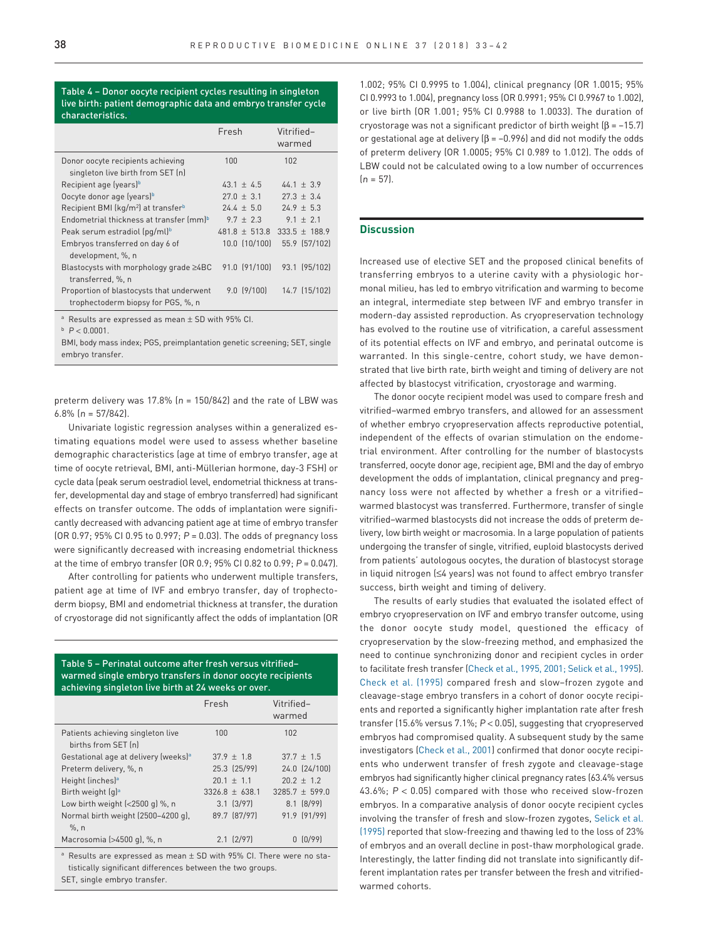#### <span id="page-5-0"></span>Table 4 – Donor oocyte recipient cycles resulting in singleton live birth: patient demographic data and embryo transfer cycle characteristics.

|                                                                        | Fresh           | Vitrified-<br>warmed |
|------------------------------------------------------------------------|-----------------|----------------------|
| Donor oocyte recipients achieving<br>singleton live birth from SET (n) | 100             | 102                  |
| Recipient age (years) <sup>b</sup>                                     | $43.1 + 4.5$    | $44.1 + 3.9$         |
| Oocyte donor age (years) <sup>b</sup>                                  | $27.0 + 3.1$    | $27.3 \pm 3.4$       |
| Recipient BMI (kg/m <sup>2</sup> ) at transfer <sup>b</sup>            | $24.4 + 5.0$    | $24.9 + 5.3$         |
| Endometrial thickness at transfer (mm) <sup>b</sup>                    | $9.7 + 2.3$     | $9.1 + 2.1$          |
| Peak serum estradiol (pq/ml) <sup>b</sup>                              | $481.8 + 513.8$ | $333.5 + 188.9$      |
| Embryos transferred on day 6 of                                        | 10.0 (10/100)   | 55.9 (57/102)        |
| development, %, n                                                      |                 |                      |
| Blastocysts with morphology grade $\geq$ 4BC<br>transferred, %, n      | 91.0 (91/100)   | 93.1 (95/102)        |
| Proportion of blastocysts that underwent                               | $9.0$ $(9/100)$ | 14.7 (15/102)        |
| trophectoderm biopsy for PGS, %, n                                     |                 |                      |
|                                                                        |                 |                      |

<span id="page-5-1"></span><sup>a</sup> Results are expressed as mean ± SD with 95% CI.

<span id="page-5-2"></span> $b$   $P < 0.0001$ .

BMI, body mass index; PGS, preimplantation genetic screening; SET, single embryo transfer.

preterm delivery was 17.8% (<sup>n</sup> = 150/842) and the rate of LBW was 6.8% (<sup>n</sup> = 57/842).

Univariate logistic regression analyses within a generalized estimating equations model were used to assess whether baseline demographic characteristics (age at time of embryo transfer, age at time of oocyte retrieval, BMI, anti-Müllerian hormone, day-3 FSH) or cycle data (peak serum oestradiol level, endometrial thickness at transfer, developmental day and stage of embryo transferred) had significant effects on transfer outcome. The odds of implantation were significantly decreased with advancing patient age at time of embryo transfer (OR 0.97; 95% CI 0.95 to 0.997; P = 0.03). The odds of pregnancy loss were significantly decreased with increasing endometrial thickness at the time of embryo transfer  $[OR 0.9; 95\% CI 0.82$  to  $0.99; P = 0.047]$ .

After controlling for patients who underwent multiple transfers, patient age at time of IVF and embryo transfer, day of trophectoderm biopsy, BMI and endometrial thickness at transfer, the duration of cryostorage did not significantly affect the odds of implantation (OR

Table 5 – Perinatal outcome after fresh versus vitrified– warmed single embryo transfers in donor oocyte recipients achieving singleton live birth at 24 weeks or over.

|                                                          | Fresh            | Vitrified-<br>warmed |
|----------------------------------------------------------|------------------|----------------------|
| Patients achieving singleton live<br>births from SET (n) | 100              | 102                  |
| Gestational age at delivery (weeks) <sup>a</sup>         | $37.9 + 1.8$     | $37.7 + 1.5$         |
| Preterm delivery, %, n                                   | 25.3 (25/99)     | 24.0 (24/100)        |
| Height (inches) <sup>a</sup>                             | $20.1 + 1.1$     | $20.2 + 1.2$         |
| Birth weight [q] <sup>a</sup>                            | $3326.8 + 638.1$ | $3285.7 + 599.0$     |
| Low birth weight (<2500 g) %, n                          | $3.1$ $(3/97)$   | 8.1 (8/99)           |
| Normal birth weight (2500-4200 g),                       | 89.7 (87/97)     | 91.9 (91/99)         |
| $%$ , n                                                  |                  |                      |
| Macrosomia (>4500 g), %, n                               | $2.1$ $(2/97)$   | (0/99)               |

<span id="page-5-3"></span><sup>a</sup> Results are expressed as mean  $\pm$  SD with 95% CI. There were no statistically significant differences between the two groups. SET, single embryo transfer.

1.002; 95% CI 0.9995 to 1.004), clinical pregnancy (OR 1.0015; 95% CI 0.9993 to 1.004), pregnancy loss (OR 0.9991; 95% CI 0.9967 to 1.002), or live birth (OR 1.001; 95% CI 0.9988 to 1.0033). The duration of cryostorage was not a significant predictor of birth weight  $(\beta = -15.7)$ or gestational age at delivery  $(\beta = -0.996)$  and did not modify the odds of preterm delivery (OR 1.0005; 95% CI 0.989 to 1.012). The odds of LBW could not be calculated owing to a low number of occurrences  $(n = 57)$ 

# **Discussion**

Increased use of elective SET and the proposed clinical benefits of transferring embryos to a uterine cavity with a physiologic hormonal milieu, has led to embryo vitrification and warming to become an integral, intermediate step between IVF and embryo transfer in modern-day assisted reproduction. As cryopreservation technology has evolved to the routine use of vitrification, a careful assessment of its potential effects on IVF and embryo, and perinatal outcome is warranted. In this single-centre, cohort study, we have demonstrated that live birth rate, birth weight and timing of delivery are not affected by blastocyst vitrification, cryostorage and warming.

The donor oocyte recipient model was used to compare fresh and vitrified–warmed embryo transfers, and allowed for an assessment of whether embryo cryopreservation affects reproductive potential, independent of the effects of ovarian stimulation on the endometrial environment. After controlling for the number of blastocysts transferred, oocyte donor age, recipient age, BMI and the day of embryo development the odds of implantation, clinical pregnancy and pregnancy loss were not affected by whether a fresh or a vitrified– warmed blastocyst was transferred. Furthermore, transfer of single vitrified–warmed blastocysts did not increase the odds of preterm delivery, low birth weight or macrosomia. In a large population of patients undergoing the transfer of single, vitrified, euploid blastocysts derived from patients' autologous oocytes, the duration of blastocyst storage in liquid nitrogen (≤4 years) was not found to affect embryo transfer success, birth weight and timing of delivery.

The results of early studies that evaluated the isolated effect of embryo cryopreservation on IVF and embryo transfer outcome, using the donor oocyte study model, questioned the efficacy of cryopreservation by the slow-freezing method, and emphasized the need to continue synchronizing donor and recipient cycles in order to facilitate fresh transfer [\(Check et al., 1995, 2001; Selick et al., 1995\)](#page-8-12). [Check et al. \(1995\)](#page-8-12) compared fresh and slow–frozen zygote and cleavage-stage embryo transfers in a cohort of donor oocyte recipients and reported a significantly higher implantation rate after fresh transfer (15.6% versus 7.1%; P < 0.05), suggesting that cryopreserved embryos had compromised quality. A subsequent study by the same investigators [\(Check et al., 2001\)](#page-8-16) confirmed that donor oocyte recipients who underwent transfer of fresh zygote and cleavage-stage embryos had significantly higher clinical pregnancy rates (63.4% versus 43.6%; P < 0.05) compared with those who received slow-frozen embryos. In a comparative analysis of donor oocyte recipient cycles involving the transfer of fresh and slow-frozen zygotes, [Selick et al.](#page-9-3) [\(1995\)](#page-9-3) reported that slow-freezing and thawing led to the loss of 23% of embryos and an overall decline in post-thaw morphological grade. Interestingly, the latter finding did not translate into significantly different implantation rates per transfer between the fresh and vitrifiedwarmed cohorts.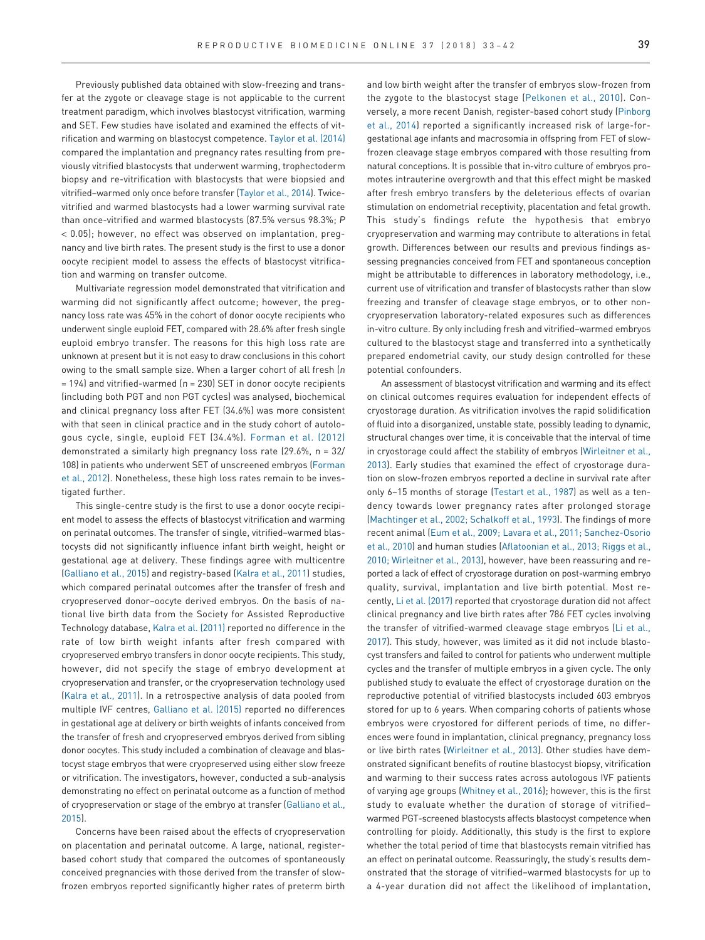Previously published data obtained with slow-freezing and transfer at the zygote or cleavage stage is not applicable to the current treatment paradigm, which involves blastocyst vitrification, warming and SET. Few studies have isolated and examined the effects of vitrification and warming on blastocyst competence. [Taylor et al. \(2014\)](#page-9-4) compared the implantation and pregnancy rates resulting from previously vitrified blastocysts that underwent warming, trophectoderm biopsy and re-vitrification with blastocysts that were biopsied and vitrified–warmed only once before transfer [\(Taylor et al., 2014\)](#page-9-4). Twicevitrified and warmed blastocysts had a lower warming survival rate than once-vitrified and warmed blastocysts (87.5% versus 98.3%; P < 0.05); however, no effect was observed on implantation, pregnancy and live birth rates. The present study is the first to use a donor oocyte recipient model to assess the effects of blastocyst vitrification and warming on transfer outcome.

Multivariate regression model demonstrated that vitrification and warming did not significantly affect outcome; however, the pregnancy loss rate was 45% in the cohort of donor oocyte recipients who underwent single euploid FET, compared with 28.6% after fresh single euploid embryo transfer. The reasons for this high loss rate are unknown at present but it is not easy to draw conclusions in this cohort owing to the small sample size. When a larger cohort of all fresh (<sup>n</sup>  $= 194$ ) and vitrified-warmed ( $n = 230$ ) SET in donor oocyte recipients (including both PGT and non PGT cycles) was analysed, biochemical and clinical pregnancy loss after FET (34.6%) was more consistent with that seen in clinical practice and in the study cohort of autologous cycle, single, euploid FET (34.4%). [Forman et al. \(2012\)](#page-8-17) demonstrated a similarly high pregnancy loss rate  $(29.6\% , n = 32/$ 108) in patients who underwent SET of unscreened embryos [\(Forman](#page-8-17) [et al., 2012\)](#page-8-17). Nonetheless, these high loss rates remain to be investigated further.

This single-centre study is the first to use a donor oocyte recipient model to assess the effects of blastocyst vitrification and warming on perinatal outcomes. The transfer of single, vitrified–warmed blastocysts did not significantly influence infant birth weight, height or gestational age at delivery. These findings agree with multicentre [\(Galliano et al., 2015\)](#page-8-13) and registry-based [\(Kalra et al., 2011\)](#page-8-18) studies, which compared perinatal outcomes after the transfer of fresh and cryopreserved donor–oocyte derived embryos. On the basis of national live birth data from the Society for Assisted Reproductive Technology database, [Kalra et al. \(2011\)](#page-8-18) reported no difference in the rate of low birth weight infants after fresh compared with cryopreserved embryo transfers in donor oocyte recipients. This study, however, did not specify the stage of embryo development at cryopreservation and transfer, or the cryopreservation technology used [\(Kalra et al., 2011\)](#page-8-18). In a retrospective analysis of data pooled from multiple IVF centres, [Galliano et al. \(2015\)](#page-8-13) reported no differences in gestational age at delivery or birth weights of infants conceived from the transfer of fresh and cryopreserved embryos derived from sibling donor oocytes. This study included a combination of cleavage and blastocyst stage embryos that were cryopreserved using either slow freeze or vitrification. The investigators, however, conducted a sub-analysis demonstrating no effect on perinatal outcome as a function of method of cryopreservation or stage of the embryo at transfer [\(Galliano et al.,](#page-8-13) [2015\)](#page-8-13).

Concerns have been raised about the effects of cryopreservation on placentation and perinatal outcome. A large, national, registerbased cohort study that compared the outcomes of spontaneously conceived pregnancies with those derived from the transfer of slowfrozen embryos reported significantly higher rates of preterm birth

and low birth weight after the transfer of embryos slow-frozen from the zygote to the blastocyst stage [\(Pelkonen et al., 2010\)](#page-8-8). Conversely, a more recent Danish, register-based cohort study [\(Pinborg](#page-8-10) [et al., 2014\)](#page-8-10) reported a significantly increased risk of large-forgestational age infants and macrosomia in offspring from FET of slowfrozen cleavage stage embryos compared with those resulting from natural conceptions. It is possible that in-vitro culture of embryos promotes intrauterine overgrowth and that this effect might be masked after fresh embryo transfers by the deleterious effects of ovarian stimulation on endometrial receptivity, placentation and fetal growth. This study's findings refute the hypothesis that embryo cryopreservation and warming may contribute to alterations in fetal growth. Differences between our results and previous findings assessing pregnancies conceived from FET and spontaneous conception might be attributable to differences in laboratory methodology, i.e., current use of vitrification and transfer of blastocysts rather than slow freezing and transfer of cleavage stage embryos, or to other noncryopreservation laboratory-related exposures such as differences in-vitro culture. By only including fresh and vitrified–warmed embryos cultured to the blastocyst stage and transferred into a synthetically prepared endometrial cavity, our study design controlled for these potential confounders.

An assessment of blastocyst vitrification and warming and its effect on clinical outcomes requires evaluation for independent effects of cryostorage duration. As vitrification involves the rapid solidification of fluid into a disorganized, unstable state, possibly leading to dynamic, structural changes over time, it is conceivable that the interval of time in cryostorage could affect the stability of embryos [\(Wirleitner et al.,](#page-9-2) [2013\)](#page-9-2). Early studies that examined the effect of cryostorage duration on slow-frozen embryos reported a decline in survival rate after only 6–15 months of storage [\(Testart et al., 1987\)](#page-9-5) as well as a tendency towards lower pregnancy rates after prolonged storage [\(Machtinger et al., 2002; Schalkoff et al., 1993\)](#page-8-19). The findings of more recent animal [\(Eum et al., 2009; Lavara et al., 2011; Sanchez-Osorio](#page-8-20) [et al., 2010\)](#page-8-20) and human studies [\(Aflatoonian et al., 2013; Riggs et al.,](#page-7-1) [2010; Wirleitner et al., 2013\)](#page-7-1), however, have been reassuring and reported a lack of effect of cryostorage duration on post-warming embryo quality, survival, implantation and live birth potential. Most recently, [Li et al. \(2017\)](#page-8-21) reported that cryostorage duration did not affect clinical pregnancy and live birth rates after 786 FET cycles involving the transfer of vitrified-warmed cleavage stage embryos [\(Li et al.,](#page-8-21) [2017\)](#page-8-21). This study, however, was limited as it did not include blastocyst transfers and failed to control for patients who underwent multiple cycles and the transfer of multiple embryos in a given cycle. The only published study to evaluate the effect of cryostorage duration on the reproductive potential of vitrified blastocysts included 603 embryos stored for up to 6 years. When comparing cohorts of patients whose embryos were cryostored for different periods of time, no differences were found in implantation, clinical pregnancy, pregnancy loss or live birth rates [\(Wirleitner et al., 2013\)](#page-9-2). Other studies have demonstrated significant benefits of routine blastocyst biopsy, vitrification and warming to their success rates across autologous IVF patients of varying age groups [\(Whitney et al., 2016\)](#page-9-6); however, this is the first study to evaluate whether the duration of storage of vitrified– warmed PGT-screened blastocysts affects blastocyst competence when controlling for ploidy. Additionally, this study is the first to explore whether the total period of time that blastocysts remain vitrified has an effect on perinatal outcome. Reassuringly, the study's results demonstrated that the storage of vitrified–warmed blastocysts for up to a 4-year duration did not affect the likelihood of implantation,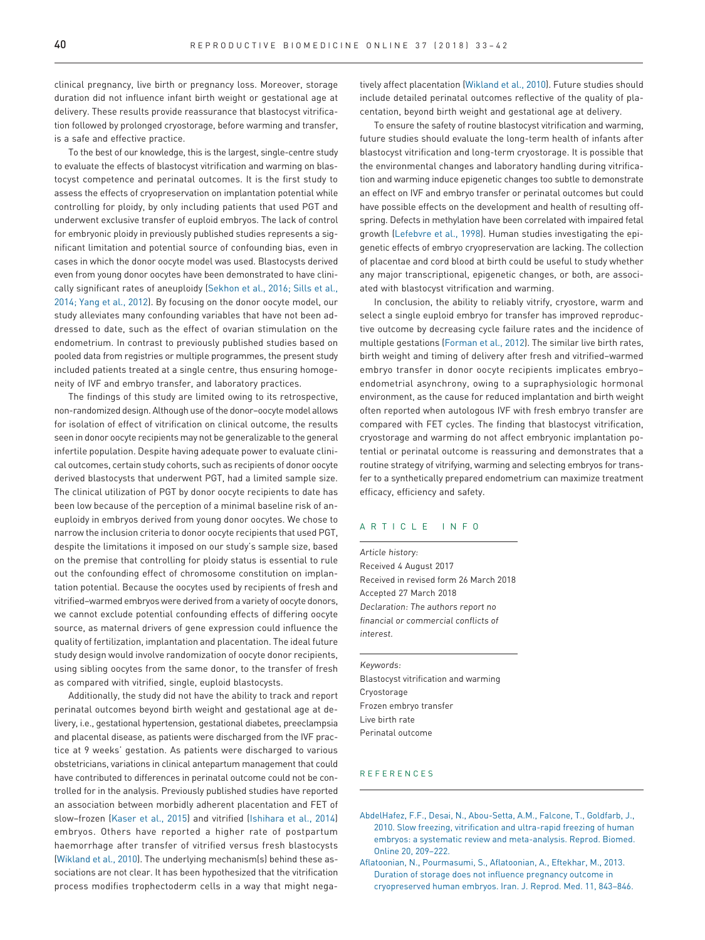clinical pregnancy, live birth or pregnancy loss. Moreover, storage duration did not influence infant birth weight or gestational age at delivery. These results provide reassurance that blastocyst vitrification followed by prolonged cryostorage, before warming and transfer, is a safe and effective practice.

To the best of our knowledge, this is the largest, single-centre study to evaluate the effects of blastocyst vitrification and warming on blastocyst competence and perinatal outcomes. It is the first study to assess the effects of cryopreservation on implantation potential while controlling for ploidy, by only including patients that used PGT and underwent exclusive transfer of euploid embryos. The lack of control for embryonic ploidy in previously published studies represents a significant limitation and potential source of confounding bias, even in cases in which the donor oocyte model was used. Blastocysts derived even from young donor oocytes have been demonstrated to have clinically significant rates of aneuploidy [\(Sekhon et al., 2016; Sills et al.,](#page-9-7) [2014; Yang et al., 2012\)](#page-9-7). By focusing on the donor oocyte model, our study alleviates many confounding variables that have not been addressed to date, such as the effect of ovarian stimulation on the endometrium. In contrast to previously published studies based on pooled data from registries or multiple programmes, the present study included patients treated at a single centre, thus ensuring homogeneity of IVF and embryo transfer, and laboratory practices.

The findings of this study are limited owing to its retrospective, non-randomized design. Although use of the donor–oocyte model allows for isolation of effect of vitrification on clinical outcome, the results seen in donor oocyte recipients may not be generalizable to the general infertile population. Despite having adequate power to evaluate clinical outcomes, certain study cohorts, such as recipients of donor oocyte derived blastocysts that underwent PGT, had a limited sample size. The clinical utilization of PGT by donor oocyte recipients to date has been low because of the perception of a minimal baseline risk of aneuploidy in embryos derived from young donor oocytes. We chose to narrow the inclusion criteria to donor oocyte recipients that used PGT, despite the limitations it imposed on our study's sample size, based on the premise that controlling for ploidy status is essential to rule out the confounding effect of chromosome constitution on implantation potential. Because the oocytes used by recipients of fresh and vitrified–warmed embryos were derived from a variety of oocyte donors, we cannot exclude potential confounding effects of differing oocyte source, as maternal drivers of gene expression could influence the quality of fertilization, implantation and placentation. The ideal future study design would involve randomization of oocyte donor recipients, using sibling oocytes from the same donor, to the transfer of fresh as compared with vitrified, single, euploid blastocysts.

Additionally, the study did not have the ability to track and report perinatal outcomes beyond birth weight and gestational age at delivery, i.e., gestational hypertension, gestational diabetes, preeclampsia and placental disease, as patients were discharged from the IVF practice at 9 weeks' gestation. As patients were discharged to various obstetricians, variations in clinical antepartum management that could have contributed to differences in perinatal outcome could not be controlled for in the analysis. Previously published studies have reported an association between morbidly adherent placentation and FET of slow–frozen [\(Kaser et al., 2015\)](#page-8-22) and vitrified [\(Ishihara et al., 2014\)](#page-8-23) embryos. Others have reported a higher rate of postpartum haemorrhage after transfer of vitrified versus fresh blastocysts [\(Wikland et al., 2010\)](#page-9-8). The underlying mechanism(s) behind these associations are not clear. It has been hypothesized that the vitrification process modifies trophectoderm cells in a way that might negatively affect placentation [\(Wikland et al., 2010\)](#page-9-8). Future studies should include detailed perinatal outcomes reflective of the quality of placentation, beyond birth weight and gestational age at delivery.

To ensure the safety of routine blastocyst vitrification and warming, future studies should evaluate the long-term health of infants after blastocyst vitrification and long-term cryostorage. It is possible that the environmental changes and laboratory handling during vitrification and warming induce epigenetic changes too subtle to demonstrate an effect on IVF and embryo transfer or perinatal outcomes but could have possible effects on the development and health of resulting offspring. Defects in methylation have been correlated with impaired fetal growth [\(Lefebvre et al., 1998\)](#page-8-24). Human studies investigating the epigenetic effects of embryo cryopreservation are lacking. The collection of placentae and cord blood at birth could be useful to study whether any major transcriptional, epigenetic changes, or both, are associated with blastocyst vitrification and warming.

In conclusion, the ability to reliably vitrify, cryostore, warm and select a single euploid embryo for transfer has improved reproductive outcome by decreasing cycle failure rates and the incidence of multiple gestations [\(Forman et al., 2012\)](#page-8-17). The similar live birth rates, birth weight and timing of delivery after fresh and vitrified–warmed embryo transfer in donor oocyte recipients implicates embryo– endometrial asynchrony, owing to a supraphysiologic hormonal environment, as the cause for reduced implantation and birth weight often reported when autologous IVF with fresh embryo transfer are compared with FET cycles. The finding that blastocyst vitrification, cryostorage and warming do not affect embryonic implantation potential or perinatal outcome is reassuring and demonstrates that a routine strategy of vitrifying, warming and selecting embryos for transfer to a synthetically prepared endometrium can maximize treatment efficacy, efficiency and safety.

### ARTICLE INFO

Article history: Received 4 August 2017 Received in revised form 26 March 2018 Accepted 27 March 2018 Declaration: The authors report no financial or commercial conflicts of interest.

#### Keywords:

Blastocyst vitrification and warming **Cryostorage** Frozen embryo transfer Live birth rate Perinatal outcome

# REFERENCES

- <span id="page-7-0"></span>[AbdelHafez, F.F., Desai, N., Abou-Setta, A.M., Falcone, T., Goldfarb, J.,](http://refhub.elsevier.com/S1472-6483(18)30191-3/sr0010) [2010. Slow freezing, vitrification and ultra-rapid freezing of human](http://refhub.elsevier.com/S1472-6483(18)30191-3/sr0010) [embryos: a systematic review and meta-analysis. Reprod. Biomed.](http://refhub.elsevier.com/S1472-6483(18)30191-3/sr0010) [Online 20, 209–222.](http://refhub.elsevier.com/S1472-6483(18)30191-3/sr0010)
- <span id="page-7-1"></span>[Aflatoonian, N., Pourmasumi, S., Aflatoonian, A., Eftekhar, M., 2013.](http://refhub.elsevier.com/S1472-6483(18)30191-3/sr0015) [Duration of storage does not influence pregnancy outcome in](http://refhub.elsevier.com/S1472-6483(18)30191-3/sr0015) [cryopreserved human embryos. Iran. J. Reprod. Med. 11, 843–846.](http://refhub.elsevier.com/S1472-6483(18)30191-3/sr0015)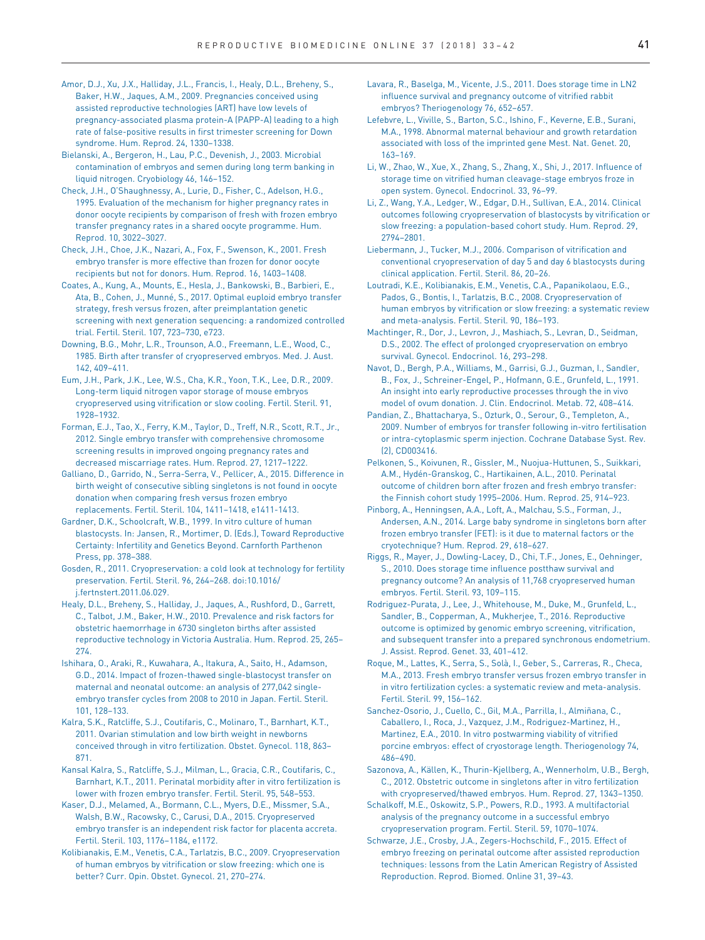<span id="page-8-5"></span>[Amor, D.J., Xu, J.X., Halliday, J.L., Francis, I., Healy, D.L., Breheny, S.,](http://refhub.elsevier.com/S1472-6483(18)30191-3/sr0020) [Baker, H.W., Jaques, A.M., 2009. Pregnancies conceived using](http://refhub.elsevier.com/S1472-6483(18)30191-3/sr0020) [assisted reproductive technologies \(ART\) have low levels of](http://refhub.elsevier.com/S1472-6483(18)30191-3/sr0020) [pregnancy-associated plasma protein-A \(PAPP-A\) leading to a high](http://refhub.elsevier.com/S1472-6483(18)30191-3/sr0020) [rate of false-positive results in first trimester screening for Down](http://refhub.elsevier.com/S1472-6483(18)30191-3/sr0020) [syndrome. Hum. Reprod. 24, 1330–1338.](http://refhub.elsevier.com/S1472-6483(18)30191-3/sr0020)

<span id="page-8-9"></span>[Bielanski, A., Bergeron, H., Lau, P.C., Devenish, J., 2003. Microbial](http://refhub.elsevier.com/S1472-6483(18)30191-3/sr0025) [contamination of embryos and semen during long term banking in](http://refhub.elsevier.com/S1472-6483(18)30191-3/sr0025) [liquid nitrogen. Cryobiology 46, 146–152.](http://refhub.elsevier.com/S1472-6483(18)30191-3/sr0025)

<span id="page-8-12"></span>[Check, J.H., O'Shaughnessy, A., Lurie, D., Fisher, C., Adelson, H.G.,](http://refhub.elsevier.com/S1472-6483(18)30191-3/sr0030) [1995. Evaluation of the mechanism for higher pregnancy rates in](http://refhub.elsevier.com/S1472-6483(18)30191-3/sr0030) [donor oocyte recipients by comparison of fresh with frozen embryo](http://refhub.elsevier.com/S1472-6483(18)30191-3/sr0030) [transfer pregnancy rates in a shared oocyte programme. Hum.](http://refhub.elsevier.com/S1472-6483(18)30191-3/sr0030) [Reprod. 10, 3022–3027.](http://refhub.elsevier.com/S1472-6483(18)30191-3/sr0030)

<span id="page-8-16"></span>[Check, J.H., Choe, J.K., Nazari, A., Fox, F., Swenson, K., 2001. Fresh](http://refhub.elsevier.com/S1472-6483(18)30191-3/sr0035) [embryo transfer is more effective than frozen for donor oocyte](http://refhub.elsevier.com/S1472-6483(18)30191-3/sr0035) [recipients but not for donors. Hum. Reprod. 16, 1403–1408.](http://refhub.elsevier.com/S1472-6483(18)30191-3/sr0035)

<span id="page-8-7"></span>[Coates, A., Kung, A., Mounts, E., Hesla, J., Bankowski, B., Barbieri, E.,](http://refhub.elsevier.com/S1472-6483(18)30191-3/sr0040) [Ata, B., Cohen, J., Munné, S., 2017. Optimal euploid embryo transfer](http://refhub.elsevier.com/S1472-6483(18)30191-3/sr0040) [strategy, fresh versus frozen, after preimplantation genetic](http://refhub.elsevier.com/S1472-6483(18)30191-3/sr0040) [screening with next generation sequencing: a randomized controlled](http://refhub.elsevier.com/S1472-6483(18)30191-3/sr0040) [trial. Fertil. Steril. 107, 723–730, e723.](http://refhub.elsevier.com/S1472-6483(18)30191-3/sr0040)

<span id="page-8-0"></span>[Downing, B.G., Mohr, L.R., Trounson, A.O., Freemann, L.E., Wood, C.,](http://refhub.elsevier.com/S1472-6483(18)30191-3/sr0045) [1985. Birth after transfer of cryopreserved embryos. Med. J. Aust.](http://refhub.elsevier.com/S1472-6483(18)30191-3/sr0045) [142, 409–411.](http://refhub.elsevier.com/S1472-6483(18)30191-3/sr0045)

<span id="page-8-20"></span>[Eum, J.H., Park, J.K., Lee, W.S., Cha, K.R., Yoon, T.K., Lee, D.R., 2009.](http://refhub.elsevier.com/S1472-6483(18)30191-3/sr0050) [Long-term liquid nitrogen vapor storage of mouse embryos](http://refhub.elsevier.com/S1472-6483(18)30191-3/sr0050) [cryopreserved using vitrification or slow cooling. Fertil. Steril. 91,](http://refhub.elsevier.com/S1472-6483(18)30191-3/sr0050) [1928–1932.](http://refhub.elsevier.com/S1472-6483(18)30191-3/sr0050)

<span id="page-8-17"></span>[Forman, E.J., Tao, X., Ferry, K.M., Taylor, D., Treff, N.R., Scott, R.T., Jr.,](http://refhub.elsevier.com/S1472-6483(18)30191-3/sr0055) [2012. Single embryo transfer with comprehensive chromosome](http://refhub.elsevier.com/S1472-6483(18)30191-3/sr0055) [screening results in improved ongoing pregnancy rates and](http://refhub.elsevier.com/S1472-6483(18)30191-3/sr0055) [decreased miscarriage rates. Hum. Reprod. 27, 1217–1222.](http://refhub.elsevier.com/S1472-6483(18)30191-3/sr0055)

<span id="page-8-13"></span>[Galliano, D., Garrido, N., Serra-Serra, V., Pellicer, A., 2015. Difference in](http://refhub.elsevier.com/S1472-6483(18)30191-3/sr0060) [birth weight of consecutive sibling singletons is not found in oocyte](http://refhub.elsevier.com/S1472-6483(18)30191-3/sr0060) [donation when comparing fresh versus frozen embryo](http://refhub.elsevier.com/S1472-6483(18)30191-3/sr0060) [replacements. Fertil. Steril. 104, 1411–1418, e1411-1413.](http://refhub.elsevier.com/S1472-6483(18)30191-3/sr0060)

<span id="page-8-15"></span>[Gardner, D.K., Schoolcraft, W.B., 1999. In vitro culture of human](http://refhub.elsevier.com/S1472-6483(18)30191-3/sr0065) [blastocysts. In: Jansen, R., Mortimer, D. \(Eds.\), Toward Reproductive](http://refhub.elsevier.com/S1472-6483(18)30191-3/sr0065) [Certainty: Infertility and Genetics Beyond. Carnforth Parthenon](http://refhub.elsevier.com/S1472-6483(18)30191-3/sr0065) [Press, pp. 378–388.](http://refhub.elsevier.com/S1472-6483(18)30191-3/sr0065)

[Gosden, R., 2011. Cryopreservation: a cold look at technology for fertility](http://refhub.elsevier.com/S1472-6483(18)30191-3/sr0070) preservation. Fertil. Steril. 96, 264–268. doi[:10.1016/](http://dx.doi.org/10.1016/j.fertnstert.2011.06.029) [j.fertnstert.2011.06.029.](http://dx.doi.org/10.1016/j.fertnstert.2011.06.029)

[Healy, D.L., Breheny, S., Halliday, J., Jaques, A., Rushford, D., Garrett,](http://refhub.elsevier.com/S1472-6483(18)30191-3/sr0075) [C., Talbot, J.M., Baker, H.W., 2010. Prevalence and risk factors for](http://refhub.elsevier.com/S1472-6483(18)30191-3/sr0075) [obstetric haemorrhage in 6730 singleton births after assisted](http://refhub.elsevier.com/S1472-6483(18)30191-3/sr0075) [reproductive technology in Victoria Australia. Hum. Reprod. 25, 265–](http://refhub.elsevier.com/S1472-6483(18)30191-3/sr0075) [274.](http://refhub.elsevier.com/S1472-6483(18)30191-3/sr0075)

<span id="page-8-23"></span>[Ishihara, O., Araki, R., Kuwahara, A., Itakura, A., Saito, H., Adamson,](http://refhub.elsevier.com/S1472-6483(18)30191-3/sr0085) [G.D., 2014. Impact of frozen-thawed single-blastocyst transfer on](http://refhub.elsevier.com/S1472-6483(18)30191-3/sr0085) [maternal and neonatal outcome: an analysis of 277,042 single](http://refhub.elsevier.com/S1472-6483(18)30191-3/sr0085)[embryo transfer cycles from 2008 to 2010 in Japan. Fertil. Steril.](http://refhub.elsevier.com/S1472-6483(18)30191-3/sr0085) [101, 128–133.](http://refhub.elsevier.com/S1472-6483(18)30191-3/sr0085)

<span id="page-8-18"></span>[Kalra, S.K., Ratcliffe, S.J., Coutifaris, C., Molinaro, T., Barnhart, K.T.,](http://refhub.elsevier.com/S1472-6483(18)30191-3/sr0090) [2011. Ovarian stimulation and low birth weight in newborns](http://refhub.elsevier.com/S1472-6483(18)30191-3/sr0090) [conceived through in vitro fertilization. Obstet. Gynecol. 118, 863–](http://refhub.elsevier.com/S1472-6483(18)30191-3/sr0090) [871.](http://refhub.elsevier.com/S1472-6483(18)30191-3/sr0090)

[Kansal Kalra, S., Ratcliffe, S.J., Milman, L., Gracia, C.R., Coutifaris, C.,](http://refhub.elsevier.com/S1472-6483(18)30191-3/sr0095) [Barnhart, K.T., 2011. Perinatal morbidity after in vitro fertilization is](http://refhub.elsevier.com/S1472-6483(18)30191-3/sr0095) [lower with frozen embryo transfer. Fertil. Steril. 95, 548–553.](http://refhub.elsevier.com/S1472-6483(18)30191-3/sr0095)

<span id="page-8-22"></span>[Kaser, D.J., Melamed, A., Bormann, C.L., Myers, D.E., Missmer, S.A.,](http://refhub.elsevier.com/S1472-6483(18)30191-3/sr0100) [Walsh, B.W., Racowsky, C., Carusi, D.A., 2015. Cryopreserved](http://refhub.elsevier.com/S1472-6483(18)30191-3/sr0100) [embryo transfer is an independent risk factor for placenta accreta.](http://refhub.elsevier.com/S1472-6483(18)30191-3/sr0100) [Fertil. Steril. 103, 1176–1184, e1172.](http://refhub.elsevier.com/S1472-6483(18)30191-3/sr0100)

<span id="page-8-2"></span>[Kolibianakis, E.M., Venetis, C.A., Tarlatzis, B.C., 2009. Cryopreservation](http://refhub.elsevier.com/S1472-6483(18)30191-3/sr0105) [of human embryos by vitrification or slow freezing: which one is](http://refhub.elsevier.com/S1472-6483(18)30191-3/sr0105) [better? Curr. Opin. Obstet. Gynecol. 21, 270–274.](http://refhub.elsevier.com/S1472-6483(18)30191-3/sr0105)

- [Lavara, R., Baselga, M., Vicente, J.S., 2011. Does storage time in LN2](http://refhub.elsevier.com/S1472-6483(18)30191-3/sr0110) [influence survival and pregnancy outcome of vitrified rabbit](http://refhub.elsevier.com/S1472-6483(18)30191-3/sr0110) [embryos? Theriogenology 76, 652–657.](http://refhub.elsevier.com/S1472-6483(18)30191-3/sr0110)
- <span id="page-8-24"></span>[Lefebvre, L., Viville, S., Barton, S.C., Ishino, F., Keverne, E.B., Surani,](http://refhub.elsevier.com/S1472-6483(18)30191-3/sr0115) [M.A., 1998. Abnormal maternal behaviour and growth retardation](http://refhub.elsevier.com/S1472-6483(18)30191-3/sr0115) [associated with loss of the imprinted gene Mest. Nat. Genet. 20,](http://refhub.elsevier.com/S1472-6483(18)30191-3/sr0115) [163–169.](http://refhub.elsevier.com/S1472-6483(18)30191-3/sr0115)
- <span id="page-8-21"></span>[Li, W., Zhao, W., Xue, X., Zhang, S., Zhang, X., Shi, J., 2017. Influence of](http://refhub.elsevier.com/S1472-6483(18)30191-3/sr0120) [storage time on vitrified human cleavage-stage embryos froze in](http://refhub.elsevier.com/S1472-6483(18)30191-3/sr0120) [open system. Gynecol. Endocrinol. 33, 96–99.](http://refhub.elsevier.com/S1472-6483(18)30191-3/sr0120)
- <span id="page-8-3"></span>[Li, Z., Wang, Y.A., Ledger, W., Edgar, D.H., Sullivan, E.A., 2014. Clinical](http://refhub.elsevier.com/S1472-6483(18)30191-3/sr0125) [outcomes following cryopreservation of blastocysts by vitrification or](http://refhub.elsevier.com/S1472-6483(18)30191-3/sr0125) [slow freezing: a population-based cohort study. Hum. Reprod. 29,](http://refhub.elsevier.com/S1472-6483(18)30191-3/sr0125) [2794–2801.](http://refhub.elsevier.com/S1472-6483(18)30191-3/sr0125)
- <span id="page-8-1"></span>[Liebermann, J., Tucker, M.J., 2006. Comparison of vitrification and](http://refhub.elsevier.com/S1472-6483(18)30191-3/sr0130) [conventional cryopreservation of day 5 and day 6 blastocysts during](http://refhub.elsevier.com/S1472-6483(18)30191-3/sr0130) [clinical application. Fertil. Steril. 86, 20–26.](http://refhub.elsevier.com/S1472-6483(18)30191-3/sr0130)

[Loutradi, K.E., Kolibianakis, E.M., Venetis, C.A., Papanikolaou, E.G.,](http://refhub.elsevier.com/S1472-6483(18)30191-3/sr0135) [Pados, G., Bontis, I., Tarlatzis, B.C., 2008. Cryopreservation of](http://refhub.elsevier.com/S1472-6483(18)30191-3/sr0135) [human embryos by vitrification or slow freezing: a systematic review](http://refhub.elsevier.com/S1472-6483(18)30191-3/sr0135) [and meta-analysis. Fertil. Steril. 90, 186–193.](http://refhub.elsevier.com/S1472-6483(18)30191-3/sr0135)

<span id="page-8-19"></span>[Machtinger, R., Dor, J., Levron, J., Mashiach, S., Levran, D., Seidman,](http://refhub.elsevier.com/S1472-6483(18)30191-3/sr0140) [D.S., 2002. The effect of prolonged cryopreservation on embryo](http://refhub.elsevier.com/S1472-6483(18)30191-3/sr0140) [survival. Gynecol. Endocrinol. 16, 293–298.](http://refhub.elsevier.com/S1472-6483(18)30191-3/sr0140)

<span id="page-8-11"></span>[Navot, D., Bergh, P.A., Williams, M., Garrisi, G.J., Guzman, I., Sandler,](http://refhub.elsevier.com/S1472-6483(18)30191-3/sr0145) [B., Fox, J., Schreiner-Engel, P., Hofmann, G.E., Grunfeld, L., 1991.](http://refhub.elsevier.com/S1472-6483(18)30191-3/sr0145) [An insight into early reproductive processes through the in vivo](http://refhub.elsevier.com/S1472-6483(18)30191-3/sr0145) [model of ovum donation. J. Clin. Endocrinol. Metab. 72, 408–414.](http://refhub.elsevier.com/S1472-6483(18)30191-3/sr0145)

<span id="page-8-4"></span>[Pandian, Z., Bhattacharya, S., Ozturk, O., Serour, G., Templeton, A.,](http://refhub.elsevier.com/S1472-6483(18)30191-3/sr0150) [2009. Number of embryos for transfer following in-vitro fertilisation](http://refhub.elsevier.com/S1472-6483(18)30191-3/sr0150) [or intra-cytoplasmic sperm injection. Cochrane Database Syst. Rev.](http://refhub.elsevier.com/S1472-6483(18)30191-3/sr0150) [\(2\), CD003416.](http://refhub.elsevier.com/S1472-6483(18)30191-3/sr0150)

<span id="page-8-8"></span>[Pelkonen, S., Koivunen, R., Gissler, M., Nuojua-Huttunen, S., Suikkari,](http://refhub.elsevier.com/S1472-6483(18)30191-3/sr0155) [A.M., Hydén-Granskog, C., Hartikainen, A.L., 2010. Perinatal](http://refhub.elsevier.com/S1472-6483(18)30191-3/sr0155) [outcome of children born after frozen and fresh embryo transfer:](http://refhub.elsevier.com/S1472-6483(18)30191-3/sr0155) [the Finnish cohort study 1995–2006. Hum. Reprod. 25, 914–923.](http://refhub.elsevier.com/S1472-6483(18)30191-3/sr0155)

<span id="page-8-10"></span>[Pinborg, A., Henningsen, A.A., Loft, A., Malchau, S.S., Forman, J.,](http://refhub.elsevier.com/S1472-6483(18)30191-3/sr0160) [Andersen, A.N., 2014. Large baby syndrome in singletons born after](http://refhub.elsevier.com/S1472-6483(18)30191-3/sr0160) [frozen embryo transfer \(FET\): is it due to maternal factors or the](http://refhub.elsevier.com/S1472-6483(18)30191-3/sr0160) [cryotechnique? Hum. Reprod. 29, 618–627.](http://refhub.elsevier.com/S1472-6483(18)30191-3/sr0160)

[Riggs, R., Mayer, J., Dowling-Lacey, D., Chi, T.F., Jones, E., Oehninger,](http://refhub.elsevier.com/S1472-6483(18)30191-3/sr0165) [S., 2010. Does storage time influence postthaw survival and](http://refhub.elsevier.com/S1472-6483(18)30191-3/sr0165) [pregnancy outcome? An analysis of 11,768 cryopreserved human](http://refhub.elsevier.com/S1472-6483(18)30191-3/sr0165) [embryos. Fertil. Steril. 93, 109–115.](http://refhub.elsevier.com/S1472-6483(18)30191-3/sr0165)

<span id="page-8-14"></span>[Rodriguez-Purata, J., Lee, J., Whitehouse, M., Duke, M., Grunfeld, L.,](http://refhub.elsevier.com/S1472-6483(18)30191-3/sr0170) [Sandler, B., Copperman, A., Mukherjee, T., 2016. Reproductive](http://refhub.elsevier.com/S1472-6483(18)30191-3/sr0170) [outcome is optimized by genomic embryo screening, vitrification,](http://refhub.elsevier.com/S1472-6483(18)30191-3/sr0170) [and subsequent transfer into a prepared synchronous endometrium.](http://refhub.elsevier.com/S1472-6483(18)30191-3/sr0170) [J. Assist. Reprod. Genet. 33, 401–412.](http://refhub.elsevier.com/S1472-6483(18)30191-3/sr0170)

<span id="page-8-6"></span>[Roque, M., Lattes, K., Serra, S., Solà, I., Geber, S., Carreras, R., Checa,](http://refhub.elsevier.com/S1472-6483(18)30191-3/sr0175) [M.A., 2013. Fresh embryo transfer versus frozen embryo transfer in](http://refhub.elsevier.com/S1472-6483(18)30191-3/sr0175) [in vitro fertilization cycles: a systematic review and meta-analysis.](http://refhub.elsevier.com/S1472-6483(18)30191-3/sr0175) [Fertil. Steril. 99, 156–162.](http://refhub.elsevier.com/S1472-6483(18)30191-3/sr0175)

[Sanchez-Osorio, J., Cuello, C., Gil, M.A., Parrilla, I., Almiñana, C.,](http://refhub.elsevier.com/S1472-6483(18)30191-3/sr0180) [Caballero, I., Roca, J., Vazquez, J.M., Rodriguez-Martinez, H.,](http://refhub.elsevier.com/S1472-6483(18)30191-3/sr0180) [Martinez, E.A., 2010. In vitro postwarming viability of vitrified](http://refhub.elsevier.com/S1472-6483(18)30191-3/sr0180) [porcine embryos: effect of cryostorage length. Theriogenology 74,](http://refhub.elsevier.com/S1472-6483(18)30191-3/sr0180) [486–490.](http://refhub.elsevier.com/S1472-6483(18)30191-3/sr0180)

[Sazonova, A., Källen, K., Thurin-Kjellberg, A., Wennerholm, U.B., Bergh,](http://refhub.elsevier.com/S1472-6483(18)30191-3/sr0185) [C., 2012. Obstetric outcome in singletons after in vitro fertilization](http://refhub.elsevier.com/S1472-6483(18)30191-3/sr0185) [with cryopreserved/thawed embryos. Hum. Reprod. 27, 1343–1350.](http://refhub.elsevier.com/S1472-6483(18)30191-3/sr0185)

[Schalkoff, M.E., Oskowitz, S.P., Powers, R.D., 1993. A multifactorial](http://refhub.elsevier.com/S1472-6483(18)30191-3/sr0190) [analysis of the pregnancy outcome in a successful embryo](http://refhub.elsevier.com/S1472-6483(18)30191-3/sr0190) [cryopreservation program. Fertil. Steril. 59, 1070–1074.](http://refhub.elsevier.com/S1472-6483(18)30191-3/sr0190)

[Schwarze, J.E., Crosby, J.A., Zegers-Hochschild, F., 2015. Effect of](http://refhub.elsevier.com/S1472-6483(18)30191-3/sr0195) [embryo freezing on perinatal outcome after assisted reproduction](http://refhub.elsevier.com/S1472-6483(18)30191-3/sr0195) [techniques: lessons from the Latin American Registry of Assisted](http://refhub.elsevier.com/S1472-6483(18)30191-3/sr0195) [Reproduction. Reprod. Biomed. Online 31, 39–43.](http://refhub.elsevier.com/S1472-6483(18)30191-3/sr0195)